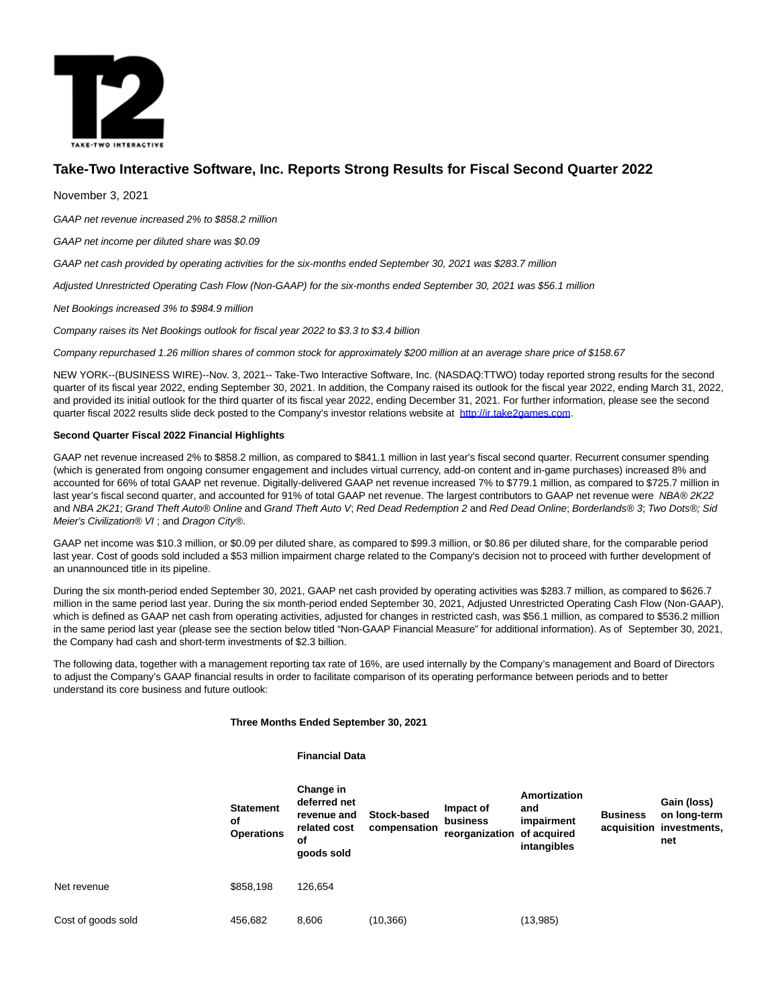

# **Take-Two Interactive Software, Inc. Reports Strong Results for Fiscal Second Quarter 2022**

November 3, 2021

GAAP net revenue increased 2% to \$858.2 million

GAAP net income per diluted share was \$0.09

GAAP net cash provided by operating activities for the six-months ended September 30, 2021 was \$283.7 million

Adjusted Unrestricted Operating Cash Flow (Non-GAAP) for the six-months ended September 30, 2021 was \$56.1 million

Net Bookings increased 3% to \$984.9 million

Company raises its Net Bookings outlook for fiscal year 2022 to \$3.3 to \$3.4 billion

Company repurchased 1.26 million shares of common stock for approximately \$200 million at an average share price of \$158.67

NEW YORK--(BUSINESS WIRE)--Nov. 3, 2021-- Take-Two Interactive Software, Inc. (NASDAQ:TTWO) today reported strong results for the second quarter of its fiscal year 2022, ending September 30, 2021. In addition, the Company raised its outlook for the fiscal year 2022, ending March 31, 2022, and provided its initial outlook for the third quarter of its fiscal year 2022, ending December 31, 2021. For further information, please see the second quarter fiscal 2022 results slide deck posted to the Company's investor relations website at [http://ir.take2games.com.](https://cts.businesswire.com/ct/CT?id=smartlink&url=http%3A%2F%2Fir.take2games.com&esheet=52520915&newsitemid=20211103006094&lan=en-US&anchor=http%3A%2F%2Fir.take2games.com&index=1&md5=99016e602af7edf83bbc21344dd4cc79)

### **Second Quarter Fiscal 2022 Financial Highlights**

GAAP net revenue increased 2% to \$858.2 million, as compared to \$841.1 million in last year's fiscal second quarter. Recurrent consumer spending (which is generated from ongoing consumer engagement and includes virtual currency, add-on content and in-game purchases) increased 8% and accounted for 66% of total GAAP net revenue. Digitally-delivered GAAP net revenue increased 7% to \$779.1 million, as compared to \$725.7 million in last year's fiscal second quarter, and accounted for 91% of total GAAP net revenue. The largest contributors to GAAP net revenue were NBA® 2K22 and NBA 2K21; Grand Theft Auto® Online and Grand Theft Auto V; Red Dead Redemption 2 and Red Dead Online; Borderlands® 3; Two Dots®; Sid Meier's Civilization® VI ; and Dragon City®.

GAAP net income was \$10.3 million, or \$0.09 per diluted share, as compared to \$99.3 million, or \$0.86 per diluted share, for the comparable period last year. Cost of goods sold included a \$53 million impairment charge related to the Company's decision not to proceed with further development of an unannounced title in its pipeline.

During the six month-period ended September 30, 2021, GAAP net cash provided by operating activities was \$283.7 million, as compared to \$626.7 million in the same period last year. During the six month-period ended September 30, 2021, Adjusted Unrestricted Operating Cash Flow (Non-GAAP), which is defined as GAAP net cash from operating activities, adjusted for changes in restricted cash, was \$56.1 million, as compared to \$536.2 million in the same period last year (please see the section below titled "Non-GAAP Financial Measure" for additional information). As of September 30, 2021, the Company had cash and short-term investments of \$2.3 billion.

The following data, together with a management reporting tax rate of 16%, are used internally by the Company's management and Board of Directors to adjust the Company's GAAP financial results in order to facilitate comparison of its operating performance between periods and to better understand its core business and future outlook:

#### **Three Months Ended September 30, 2021**

### **Financial Data**

|                    | <b>Statement</b><br>οf<br><b>Operations</b> | Change in<br>deferred net<br>revenue and<br>related cost<br>οf<br>goods sold | Stock-based<br>compensation | Impact of<br>business<br>reorganization of acquired | Amortization<br>and<br>impairment<br>intangibles | <b>Business</b> | Gain (loss)<br>on long-term<br>acquisition investments,<br>net |  |
|--------------------|---------------------------------------------|------------------------------------------------------------------------------|-----------------------------|-----------------------------------------------------|--------------------------------------------------|-----------------|----------------------------------------------------------------|--|
| Net revenue        | \$858,198                                   | 126,654                                                                      |                             |                                                     |                                                  |                 |                                                                |  |
| Cost of goods sold | 456,682                                     | 8,606                                                                        | (10, 366)                   |                                                     | (13,985)                                         |                 |                                                                |  |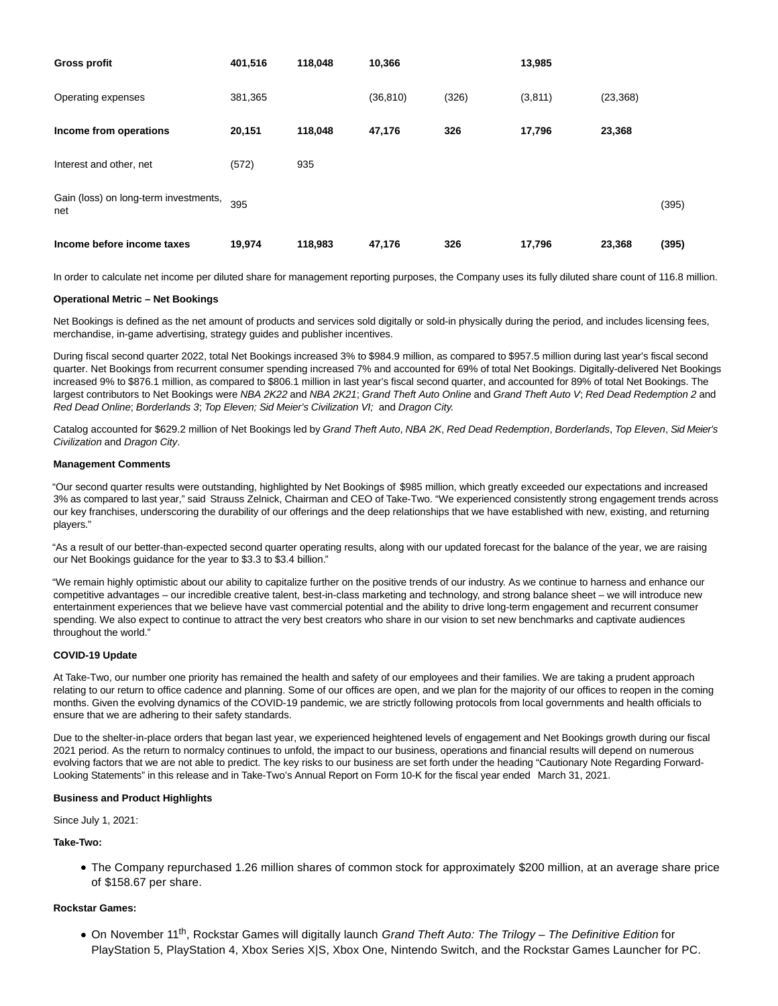| <b>Gross profit</b>                          | 401,516 | 118,048 | 10,366    |       | 13,985  |           |       |
|----------------------------------------------|---------|---------|-----------|-------|---------|-----------|-------|
| Operating expenses                           | 381,365 |         | (36, 810) | (326) | (3,811) | (23, 368) |       |
| Income from operations                       | 20,151  | 118,048 | 47,176    | 326   | 17,796  | 23,368    |       |
| Interest and other, net                      | (572)   | 935     |           |       |         |           |       |
| Gain (loss) on long-term investments,<br>net | 395     |         |           |       |         |           | (395) |
| Income before income taxes                   | 19,974  | 118,983 | 47,176    | 326   | 17,796  | 23,368    | (395) |

In order to calculate net income per diluted share for management reporting purposes, the Company uses its fully diluted share count of 116.8 million.

### **Operational Metric – Net Bookings**

Net Bookings is defined as the net amount of products and services sold digitally or sold-in physically during the period, and includes licensing fees, merchandise, in-game advertising, strategy guides and publisher incentives.

During fiscal second quarter 2022, total Net Bookings increased 3% to \$984.9 million, as compared to \$957.5 million during last year's fiscal second quarter. Net Bookings from recurrent consumer spending increased 7% and accounted for 69% of total Net Bookings. Digitally-delivered Net Bookings increased 9% to \$876.1 million, as compared to \$806.1 million in last year's fiscal second quarter, and accounted for 89% of total Net Bookings. The largest contributors to Net Bookings were NBA 2K22 and NBA 2K21; Grand Theft Auto Online and Grand Theft Auto V; Red Dead Redemption 2 and Red Dead Online; Borderlands 3; Top Eleven; Sid Meier's Civilization VI; and Dragon City.

Catalog accounted for \$629.2 million of Net Bookings led by Grand Theft Auto, NBA 2K, Red Dead Redemption, Borderlands, Top Eleven, Sid Meier's Civilization and Dragon City.

### **Management Comments**

"Our second quarter results were outstanding, highlighted by Net Bookings of \$985 million, which greatly exceeded our expectations and increased 3% as compared to last year," said Strauss Zelnick, Chairman and CEO of Take-Two. "We experienced consistently strong engagement trends across our key franchises, underscoring the durability of our offerings and the deep relationships that we have established with new, existing, and returning players."

"As a result of our better-than-expected second quarter operating results, along with our updated forecast for the balance of the year, we are raising our Net Bookings guidance for the year to \$3.3 to \$3.4 billion."

"We remain highly optimistic about our ability to capitalize further on the positive trends of our industry. As we continue to harness and enhance our competitive advantages – our incredible creative talent, best-in-class marketing and technology, and strong balance sheet – we will introduce new entertainment experiences that we believe have vast commercial potential and the ability to drive long-term engagement and recurrent consumer spending. We also expect to continue to attract the very best creators who share in our vision to set new benchmarks and captivate audiences throughout the world."

#### **COVID-19 Update**

At Take-Two, our number one priority has remained the health and safety of our employees and their families. We are taking a prudent approach relating to our return to office cadence and planning. Some of our offices are open, and we plan for the majority of our offices to reopen in the coming months. Given the evolving dynamics of the COVID-19 pandemic, we are strictly following protocols from local governments and health officials to ensure that we are adhering to their safety standards.

Due to the shelter-in-place orders that began last year, we experienced heightened levels of engagement and Net Bookings growth during our fiscal 2021 period. As the return to normalcy continues to unfold, the impact to our business, operations and financial results will depend on numerous evolving factors that we are not able to predict. The key risks to our business are set forth under the heading "Cautionary Note Regarding Forward-Looking Statements" in this release and in Take-Two's Annual Report on Form 10-K for the fiscal year ended March 31, 2021.

### **Business and Product Highlights**

Since July 1, 2021:

### **Take-Two:**

The Company repurchased 1.26 million shares of common stock for approximately \$200 million, at an average share price of \$158.67 per share.

#### **Rockstar Games:**

On November 11<sup>th</sup>, Rockstar Games will digitally launch Grand Theft Auto: The Trilogy – The Definitive Edition for PlayStation 5, PlayStation 4, Xbox Series X|S, Xbox One, Nintendo Switch, and the Rockstar Games Launcher for PC.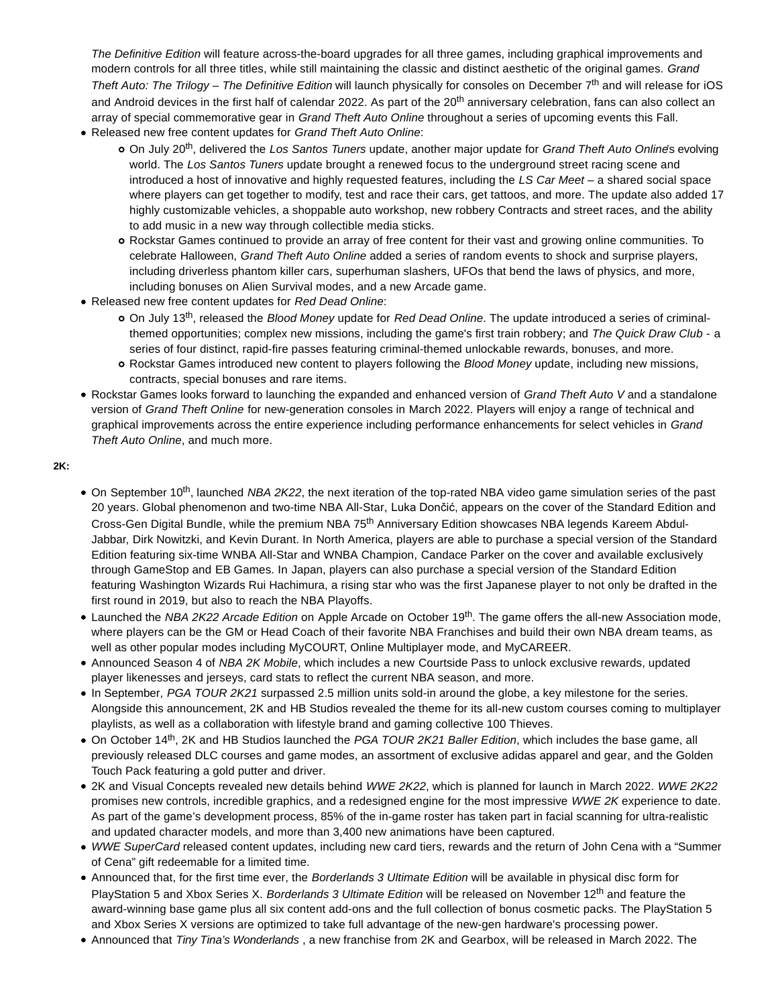The Definitive Edition will feature across-the-board upgrades for all three games, including graphical improvements and modern controls for all three titles, while still maintaining the classic and distinct aesthetic of the original games. Grand Theft Auto: The Trilogy – The Definitive Edition will launch physically for consoles on December  $7<sup>th</sup>$  and will release for iOS and Android devices in the first half of calendar 2022. As part of the 20<sup>th</sup> anniversary celebration, fans can also collect an array of special commemorative gear in Grand Theft Auto Online throughout a series of upcoming events this Fall.

- Released new free content updates for Grand Theft Auto Online:
	- o On July 20<sup>th</sup>, delivered the Los Santos Tuners update, another major update for Grand Theft Auto Online's evolving world. The Los Santos Tuners update brought a renewed focus to the underground street racing scene and introduced a host of innovative and highly requested features, including the LS Car Meet – a shared social space where players can get together to modify, test and race their cars, get tattoos, and more. The update also added 17 highly customizable vehicles, a shoppable auto workshop, new robbery Contracts and street races, and the ability to add music in a new way through collectible media sticks.
	- Rockstar Games continued to provide an array of free content for their vast and growing online communities. To celebrate Halloween, Grand Theft Auto Online added a series of random events to shock and surprise players, including driverless phantom killer cars, superhuman slashers, UFOs that bend the laws of physics, and more, including bonuses on Alien Survival modes, and a new Arcade game.
- Released new free content updates for Red Dead Online:
	- o On July 13<sup>th</sup>, released the Blood Money update for Red Dead Online. The update introduced a series of criminalthemed opportunities; complex new missions, including the game's first train robbery; and The Quick Draw Club - a series of four distinct, rapid-fire passes featuring criminal-themed unlockable rewards, bonuses, and more.
	- o Rockstar Games introduced new content to players following the Blood Money update, including new missions, contracts, special bonuses and rare items.
- Rockstar Games looks forward to launching the expanded and enhanced version of Grand Theft Auto V and a standalone version of Grand Theft Online for new-generation consoles in March 2022. Players will enjoy a range of technical and graphical improvements across the entire experience including performance enhancements for select vehicles in Grand Theft Auto Online, and much more.

**2K:**

- On September 10<sup>th</sup>, launched NBA 2K22, the next iteration of the top-rated NBA video game simulation series of the past 20 years. Global phenomenon and two-time NBA All-Star, Luka Dončić, appears on the cover of the Standard Edition and Cross-Gen Digital Bundle, while the premium NBA 75<sup>th</sup> Anniversary Edition showcases NBA legends Kareem Abdul-Jabbar, Dirk Nowitzki, and Kevin Durant. In North America, players are able to purchase a special version of the Standard Edition featuring six-time WNBA All-Star and WNBA Champion, Candace Parker on the cover and available exclusively through GameStop and EB Games. In Japan, players can also purchase a special version of the Standard Edition featuring Washington Wizards Rui Hachimura, a rising star who was the first Japanese player to not only be drafted in the first round in 2019, but also to reach the NBA Playoffs.
- Launched the NBA 2K22 Arcade Edition on Apple Arcade on October 19<sup>th</sup>. The game offers the all-new Association mode, where players can be the GM or Head Coach of their favorite NBA Franchises and build their own NBA dream teams, as well as other popular modes including MyCOURT, Online Multiplayer mode, and MyCAREER.
- Announced Season 4 of NBA 2K Mobile, which includes a new Courtside Pass to unlock exclusive rewards, updated player likenesses and jerseys, card stats to reflect the current NBA season, and more.
- In September, PGA TOUR 2K21 surpassed 2.5 million units sold-in around the globe, a key milestone for the series. Alongside this announcement, 2K and HB Studios revealed the theme for its all-new custom courses coming to multiplayer playlists, as well as a collaboration with lifestyle brand and gaming collective 100 Thieves.
- On October 14<sup>th</sup>, 2K and HB Studios launched the PGA TOUR 2K21 Baller Edition, which includes the base game, all previously released DLC courses and game modes, an assortment of exclusive adidas apparel and gear, and the Golden Touch Pack featuring a gold putter and driver.
- 2K and Visual Concepts revealed new details behind WWE 2K22, which is planned for launch in March 2022. WWE 2K22 promises new controls, incredible graphics, and a redesigned engine for the most impressive WWE 2K experience to date. As part of the game's development process, 85% of the in-game roster has taken part in facial scanning for ultra-realistic and updated character models, and more than 3,400 new animations have been captured.
- WWE SuperCard released content updates, including new card tiers, rewards and the return of John Cena with a "Summer of Cena" gift redeemable for a limited time.
- Announced that, for the first time ever, the Borderlands 3 Ultimate Edition will be available in physical disc form for PlayStation 5 and Xbox Series X. Borderlands 3 Ultimate Edition will be released on November 12<sup>th</sup> and feature the award-winning base game plus all six content add-ons and the full collection of bonus cosmetic packs. The PlayStation 5 and Xbox Series X versions are optimized to take full advantage of the new-gen hardware's processing power.
- Announced that Tiny Tina's Wonderlands, a new franchise from 2K and Gearbox, will be released in March 2022. The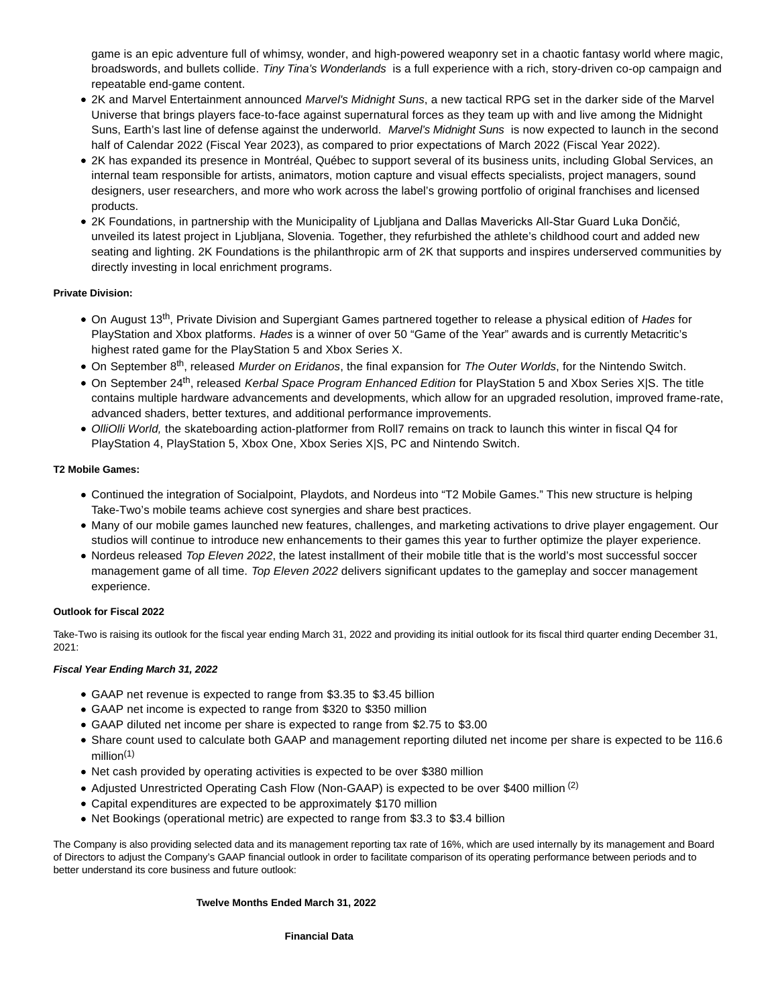game is an epic adventure full of whimsy, wonder, and high-powered weaponry set in a chaotic fantasy world where magic, broadswords, and bullets collide. Tiny Tina's Wonderlands is a full experience with a rich, story-driven co-op campaign and repeatable end-game content.

- 2K and Marvel Entertainment announced Marvel's Midnight Suns, a new tactical RPG set in the darker side of the Marvel Universe that brings players face-to-face against supernatural forces as they team up with and live among the Midnight Suns, Earth's last line of defense against the underworld. Marvel's Midnight Suns is now expected to launch in the second half of Calendar 2022 (Fiscal Year 2023), as compared to prior expectations of March 2022 (Fiscal Year 2022).
- 2K has expanded its presence in Montréal, Québec to support several of its business units, including Global Services, an internal team responsible for artists, animators, motion capture and visual effects specialists, project managers, sound designers, user researchers, and more who work across the label's growing portfolio of original franchises and licensed products.
- 2K Foundations, in partnership with the Municipality of Ljubljana and Dallas Mavericks All-Star Guard Luka Dončić, unveiled its latest project in Ljubljana, Slovenia. Together, they refurbished the athlete's childhood court and added new seating and lighting. 2K Foundations is the philanthropic arm of 2K that supports and inspires underserved communities by directly investing in local enrichment programs.

## **Private Division:**

- On August 13<sup>th</sup>, Private Division and Supergiant Games partnered together to release a physical edition of Hades for PlayStation and Xbox platforms. Hades is a winner of over 50 "Game of the Year" awards and is currently Metacritic's highest rated game for the PlayStation 5 and Xbox Series X.
- On September 8<sup>th</sup>, released Murder on Eridanos, the final expansion for The Outer Worlds, for the Nintendo Switch.
- On September 24<sup>th</sup>, released Kerbal Space Program Enhanced Edition for PlayStation 5 and Xbox Series X|S. The title contains multiple hardware advancements and developments, which allow for an upgraded resolution, improved frame-rate, advanced shaders, better textures, and additional performance improvements.
- OlliOlli World, the skateboarding action-platformer from Roll7 remains on track to launch this winter in fiscal Q4 for PlayStation 4, PlayStation 5, Xbox One, Xbox Series X|S, PC and Nintendo Switch.

# **T2 Mobile Games:**

- Continued the integration of Socialpoint, Playdots, and Nordeus into "T2 Mobile Games." This new structure is helping Take-Two's mobile teams achieve cost synergies and share best practices.
- Many of our mobile games launched new features, challenges, and marketing activations to drive player engagement. Our studios will continue to introduce new enhancements to their games this year to further optimize the player experience.
- Nordeus released Top Eleven 2022, the latest installment of their mobile title that is the world's most successful soccer management game of all time. Top Eleven 2022 delivers significant updates to the gameplay and soccer management experience.

## **Outlook for Fiscal 2022**

Take-Two is raising its outlook for the fiscal year ending March 31, 2022 and providing its initial outlook for its fiscal third quarter ending December 31, 2021:

# **Fiscal Year Ending March 31, 2022**

- GAAP net revenue is expected to range from \$3.35 to \$3.45 billion
- GAAP net income is expected to range from \$320 to \$350 million
- GAAP diluted net income per share is expected to range from \$2.75 to \$3.00
- Share count used to calculate both GAAP and management reporting diluted net income per share is expected to be 116.6 million $(1)$
- Net cash provided by operating activities is expected to be over \$380 million
- Adjusted Unrestricted Operating Cash Flow (Non-GAAP) is expected to be over \$400 million <sup>(2)</sup>
- Capital expenditures are expected to be approximately \$170 million
- Net Bookings (operational metric) are expected to range from \$3.3 to \$3.4 billion

The Company is also providing selected data and its management reporting tax rate of 16%, which are used internally by its management and Board of Directors to adjust the Company's GAAP financial outlook in order to facilitate comparison of its operating performance between periods and to better understand its core business and future outlook:

## **Twelve Months Ended March 31, 2022**

## **Financial Data**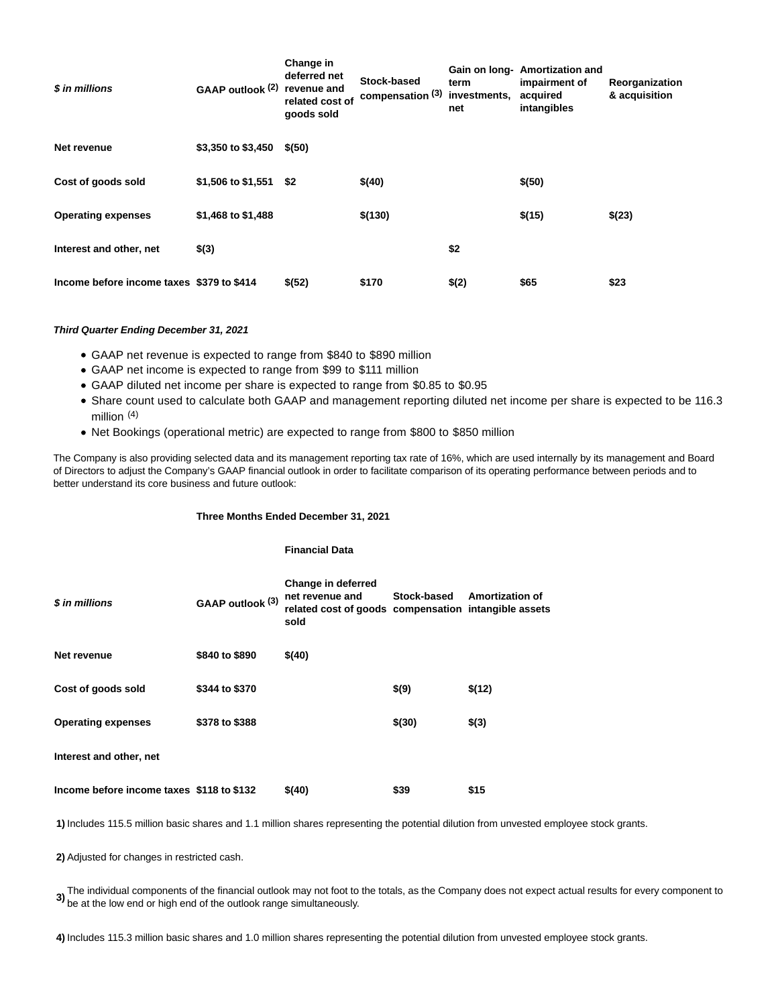| \$ in millions                            | GAAP outlook (2)   | Change in<br>deferred net<br>revenue and<br>related cost of<br>goods sold | Stock-based<br>compensation (3) | term<br>investments,<br>net | Gain on long- Amortization and<br>impairment of<br>acquired<br>intangibles | Reorganization<br>& acquisition |
|-------------------------------------------|--------------------|---------------------------------------------------------------------------|---------------------------------|-----------------------------|----------------------------------------------------------------------------|---------------------------------|
| Net revenue                               | \$3,350 to \$3,450 | $$^{(50)}$$                                                               |                                 |                             |                                                                            |                                 |
| Cost of goods sold                        | \$1,506 to \$1,551 | \$2                                                                       | \$(40)                          |                             | \$(50)                                                                     |                                 |
| <b>Operating expenses</b>                 | \$1,468 to \$1,488 |                                                                           | \$(130)                         |                             | \$(15)                                                                     | \$(23)                          |
| Interest and other, net                   | \$(3)              |                                                                           |                                 | \$2                         |                                                                            |                                 |
| Income before income taxes \$379 to \$414 |                    | \$(52)                                                                    | \$170                           | \$(2)                       | \$65                                                                       | \$23                            |

### **Third Quarter Ending December 31, 2021**

- GAAP net revenue is expected to range from \$840 to \$890 million
- GAAP net income is expected to range from \$99 to \$111 million
- GAAP diluted net income per share is expected to range from \$0.85 to \$0.95
- Share count used to calculate both GAAP and management reporting diluted net income per share is expected to be 116.3 million  $(4)$
- Net Bookings (operational metric) are expected to range from \$800 to \$850 million

The Company is also providing selected data and its management reporting tax rate of 16%, which are used internally by its management and Board of Directors to adjust the Company's GAAP financial outlook in order to facilitate comparison of its operating performance between periods and to better understand its core business and future outlook:

### **Three Months Ended December 31, 2021**

## **Financial Data**

| \$ in millions                            | GAAP outlook (3) | Change in deferred<br>net revenue and<br>related cost of goods compensation intangible assets<br>sold | Stock-based | <b>Amortization of</b> |
|-------------------------------------------|------------------|-------------------------------------------------------------------------------------------------------|-------------|------------------------|
| Net revenue                               | \$840 to \$890   | \$(40)                                                                                                |             |                        |
| Cost of goods sold                        | \$344 to \$370   |                                                                                                       | \$(9)       | \$(12)                 |
| <b>Operating expenses</b>                 | \$378 to \$388   |                                                                                                       | $$^{(30)}$  | \$(3)                  |
| Interest and other, net                   |                  |                                                                                                       |             |                        |
| Income before income taxes \$118 to \$132 |                  | \$(40)                                                                                                | \$39        | \$15                   |

**1)** Includes 115.5 million basic shares and 1.1 million shares representing the potential dilution from unvested employee stock grants.

**2)** Adjusted for changes in restricted cash.

**3)** The individual components of the financial outlook may not foot to the totals, as the Company does not expect actual results for every component to<br>be at the low end or high end of the outlook range simultaneously.

**4)** Includes 115.3 million basic shares and 1.0 million shares representing the potential dilution from unvested employee stock grants.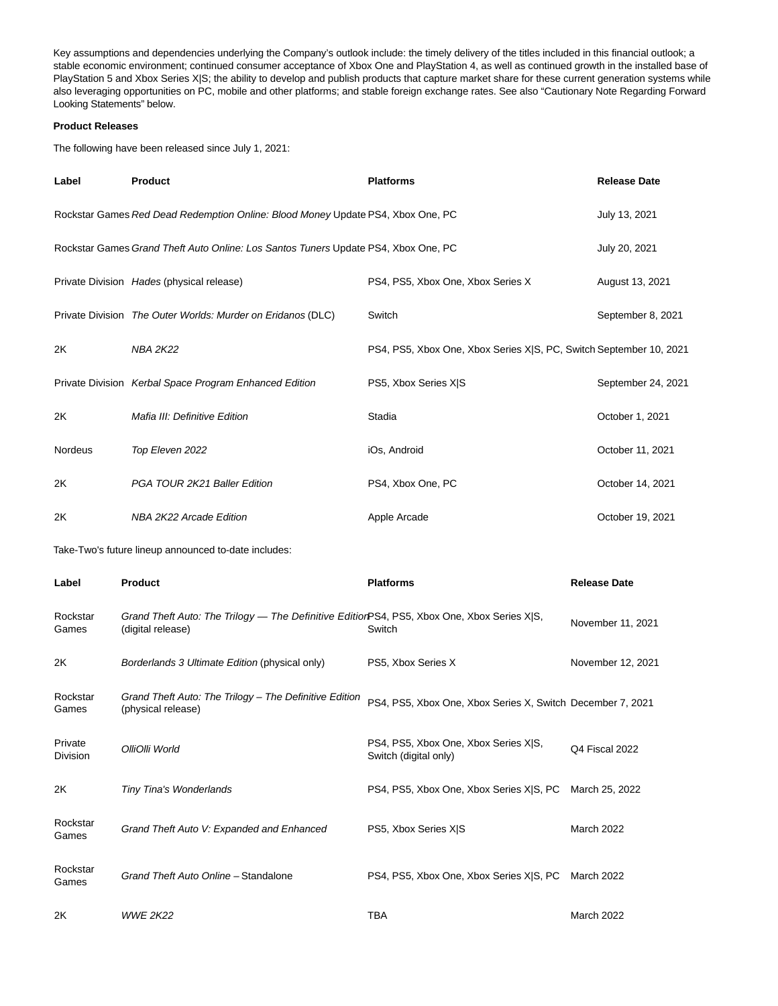Key assumptions and dependencies underlying the Company's outlook include: the timely delivery of the titles included in this financial outlook; a stable economic environment; continued consumer acceptance of Xbox One and PlayStation 4, as well as continued growth in the installed base of PlayStation 5 and Xbox Series X|S; the ability to develop and publish products that capture market share for these current generation systems while also leveraging opportunities on PC, mobile and other platforms; and stable foreign exchange rates. See also "Cautionary Note Regarding Forward Looking Statements" below.

# **Product Releases**

The following have been released since July 1, 2021:

| Label               | <b>Product</b>                                                                                                     | <b>Platforms</b>                                                   | <b>Release Date</b> |
|---------------------|--------------------------------------------------------------------------------------------------------------------|--------------------------------------------------------------------|---------------------|
|                     | Rockstar Games Red Dead Redemption Online: Blood Money Update PS4, Xbox One, PC                                    |                                                                    | July 13, 2021       |
|                     | Rockstar Games Grand Theft Auto Online: Los Santos Tuners Update PS4, Xbox One, PC                                 |                                                                    | July 20, 2021       |
|                     | Private Division Hades (physical release)                                                                          | PS4, PS5, Xbox One, Xbox Series X                                  | August 13, 2021     |
|                     | Private Division The Outer Worlds: Murder on Eridanos (DLC)                                                        | Switch                                                             | September 8, 2021   |
| 2K                  | <b>NBA 2K22</b>                                                                                                    | PS4, PS5, Xbox One, Xbox Series X S, PC, Switch September 10, 2021 |                     |
|                     | Private Division Kerbal Space Program Enhanced Edition                                                             | PS5, Xbox Series X S                                               | September 24, 2021  |
| 2K                  | Mafia III: Definitive Edition                                                                                      | Stadia                                                             | October 1, 2021     |
| Nordeus             | Top Eleven 2022                                                                                                    | iOs, Android                                                       | October 11, 2021    |
| 2K                  | PGA TOUR 2K21 Baller Edition                                                                                       | PS4, Xbox One, PC                                                  | October 14, 2021    |
| 2K                  | NBA 2K22 Arcade Edition                                                                                            | Apple Arcade                                                       | October 19, 2021    |
|                     | Take-Two's future lineup announced to-date includes:                                                               |                                                                    |                     |
| Label               | Product                                                                                                            | <b>Platforms</b>                                                   | <b>Release Date</b> |
| Rockstar<br>Games   | Grand Theft Auto: The Trilogy — The Definitive EditiorPS4, PS5, Xbox One, Xbox Series $X S$ ,<br>(digital release) | Switch                                                             | November 11, 2021   |
| 2K                  | Borderlands 3 Ultimate Edition (physical only)                                                                     | PS5, Xbox Series X                                                 | November 12, 2021   |
| Rockstar<br>Games   | Grand Theft Auto: The Trilogy - The Definitive Edition<br>(physical release)                                       | PS4, PS5, Xbox One, Xbox Series X, Switch December 7, 2021         |                     |
| Private<br>Division | OlliOlli World                                                                                                     | PS4, PS5, Xbox One, Xbox Series X S,<br>Switch (digital only)      | Q4 Fiscal 2022      |
| 2K                  | Tiny Tina's Wonderlands                                                                                            | PS4, PS5, Xbox One, Xbox Series X S, PC                            | March 25, 2022      |
| Rockstar<br>Games   | Grand Theft Auto V: Expanded and Enhanced                                                                          | PS5, Xbox Series X S                                               | March 2022          |
| Rockstar<br>Games   | Grand Theft Auto Online - Standalone                                                                               | PS4, PS5, Xbox One, Xbox Series X S, PC                            | <b>March 2022</b>   |
| 2K                  | <b>WWE 2K22</b>                                                                                                    | <b>TBA</b>                                                         | March 2022          |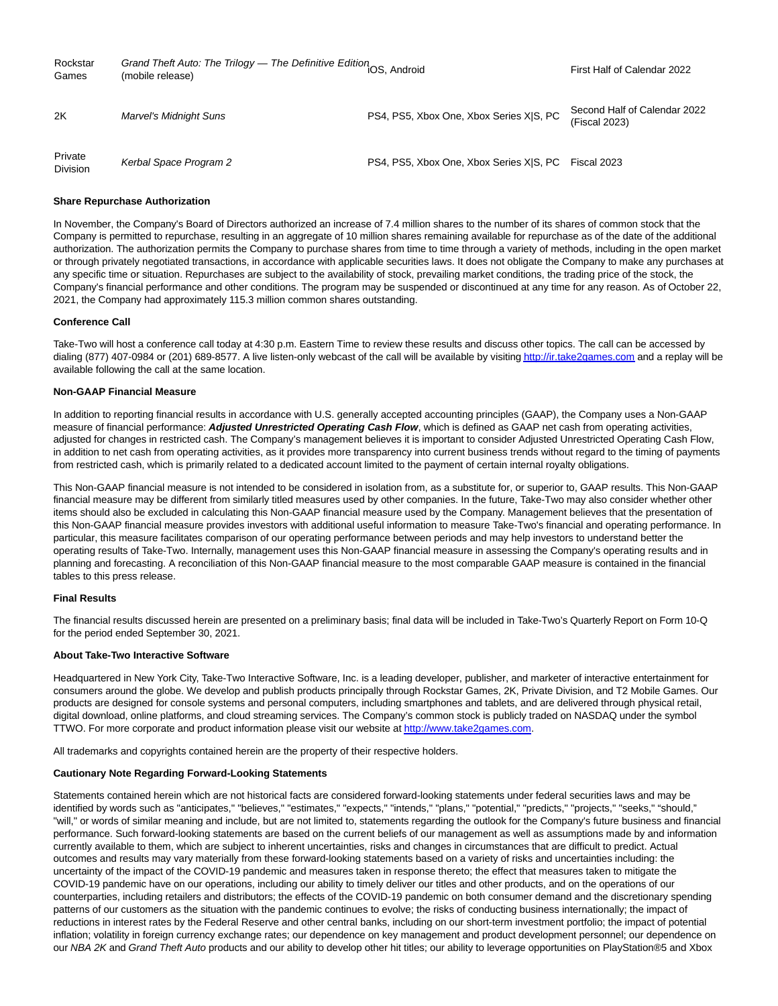| Rockstar<br>Games          | Grand Theft Auto: The Trilogy — The Definitive Edition IOS, Android<br>(mobile release) |                                         | First Half of Calendar 2022                   |
|----------------------------|-----------------------------------------------------------------------------------------|-----------------------------------------|-----------------------------------------------|
| 2K                         | <b>Marvel's Midnight Suns</b>                                                           | PS4, PS5, Xbox One, Xbox Series X S, PC | Second Half of Calendar 2022<br>(Fiscal 2023) |
| Private<br><b>Division</b> | Kerbal Space Program 2                                                                  | PS4, PS5, Xbox One, Xbox Series XIS, PC | Fiscal 2023                                   |

### **Share Repurchase Authorization**

In November, the Company's Board of Directors authorized an increase of 7.4 million shares to the number of its shares of common stock that the Company is permitted to repurchase, resulting in an aggregate of 10 million shares remaining available for repurchase as of the date of the additional authorization. The authorization permits the Company to purchase shares from time to time through a variety of methods, including in the open market or through privately negotiated transactions, in accordance with applicable securities laws. It does not obligate the Company to make any purchases at any specific time or situation. Repurchases are subject to the availability of stock, prevailing market conditions, the trading price of the stock, the Company's financial performance and other conditions. The program may be suspended or discontinued at any time for any reason. As of October 22, 2021, the Company had approximately 115.3 million common shares outstanding.

### **Conference Call**

Take-Two will host a conference call today at 4:30 p.m. Eastern Time to review these results and discuss other topics. The call can be accessed by dialing (877) 407-0984 or (201) 689-8577. A live listen-only webcast of the call will be available by visitin[g http://ir.take2games.com a](https://cts.businesswire.com/ct/CT?id=smartlink&url=http%3A%2F%2Fir.take2games.com&esheet=52520915&newsitemid=20211103006094&lan=en-US&anchor=http%3A%2F%2Fir.take2games.com&index=2&md5=471097b25cde1c6631a89b1399f37f92)nd a replay will be available following the call at the same location.

#### **Non-GAAP Financial Measure**

In addition to reporting financial results in accordance with U.S. generally accepted accounting principles (GAAP), the Company uses a Non-GAAP measure of financial performance: **Adjusted Unrestricted Operating Cash Flow**, which is defined as GAAP net cash from operating activities, adjusted for changes in restricted cash. The Company's management believes it is important to consider Adjusted Unrestricted Operating Cash Flow, in addition to net cash from operating activities, as it provides more transparency into current business trends without regard to the timing of payments from restricted cash, which is primarily related to a dedicated account limited to the payment of certain internal royalty obligations.

This Non-GAAP financial measure is not intended to be considered in isolation from, as a substitute for, or superior to, GAAP results. This Non-GAAP financial measure may be different from similarly titled measures used by other companies. In the future, Take-Two may also consider whether other items should also be excluded in calculating this Non-GAAP financial measure used by the Company. Management believes that the presentation of this Non-GAAP financial measure provides investors with additional useful information to measure Take-Two's financial and operating performance. In particular, this measure facilitates comparison of our operating performance between periods and may help investors to understand better the operating results of Take-Two. Internally, management uses this Non-GAAP financial measure in assessing the Company's operating results and in planning and forecasting. A reconciliation of this Non-GAAP financial measure to the most comparable GAAP measure is contained in the financial tables to this press release.

#### **Final Results**

The financial results discussed herein are presented on a preliminary basis; final data will be included in Take-Two's Quarterly Report on Form 10-Q for the period ended September 30, 2021.

#### **About Take-Two Interactive Software**

Headquartered in New York City, Take-Two Interactive Software, Inc. is a leading developer, publisher, and marketer of interactive entertainment for consumers around the globe. We develop and publish products principally through Rockstar Games, 2K, Private Division, and T2 Mobile Games. Our products are designed for console systems and personal computers, including smartphones and tablets, and are delivered through physical retail, digital download, online platforms, and cloud streaming services. The Company's common stock is publicly traded on NASDAQ under the symbol TTWO. For more corporate and product information please visit our website a[t http://www.take2games.com.](https://cts.businesswire.com/ct/CT?id=smartlink&url=http%3A%2F%2Fwww.take2games.com&esheet=52520915&newsitemid=20211103006094&lan=en-US&anchor=http%3A%2F%2Fwww.take2games.com&index=3&md5=bfe22812fd151259189ccd07f05df462)

All trademarks and copyrights contained herein are the property of their respective holders.

### **Cautionary Note Regarding Forward-Looking Statements**

Statements contained herein which are not historical facts are considered forward-looking statements under federal securities laws and may be identified by words such as "anticipates," "believes," "estimates," "expects," "intends," "plans," "potential," "predicts," "projects," "seeks," "should," "will," or words of similar meaning and include, but are not limited to, statements regarding the outlook for the Company's future business and financial performance. Such forward-looking statements are based on the current beliefs of our management as well as assumptions made by and information currently available to them, which are subject to inherent uncertainties, risks and changes in circumstances that are difficult to predict. Actual outcomes and results may vary materially from these forward-looking statements based on a variety of risks and uncertainties including: the uncertainty of the impact of the COVID-19 pandemic and measures taken in response thereto; the effect that measures taken to mitigate the COVID-19 pandemic have on our operations, including our ability to timely deliver our titles and other products, and on the operations of our counterparties, including retailers and distributors; the effects of the COVID-19 pandemic on both consumer demand and the discretionary spending patterns of our customers as the situation with the pandemic continues to evolve; the risks of conducting business internationally; the impact of reductions in interest rates by the Federal Reserve and other central banks, including on our short-term investment portfolio; the impact of potential inflation; volatility in foreign currency exchange rates; our dependence on key management and product development personnel; our dependence on our NBA 2K and Grand Theft Auto products and our ability to develop other hit titles; our ability to leverage opportunities on PlayStation®5 and Xbox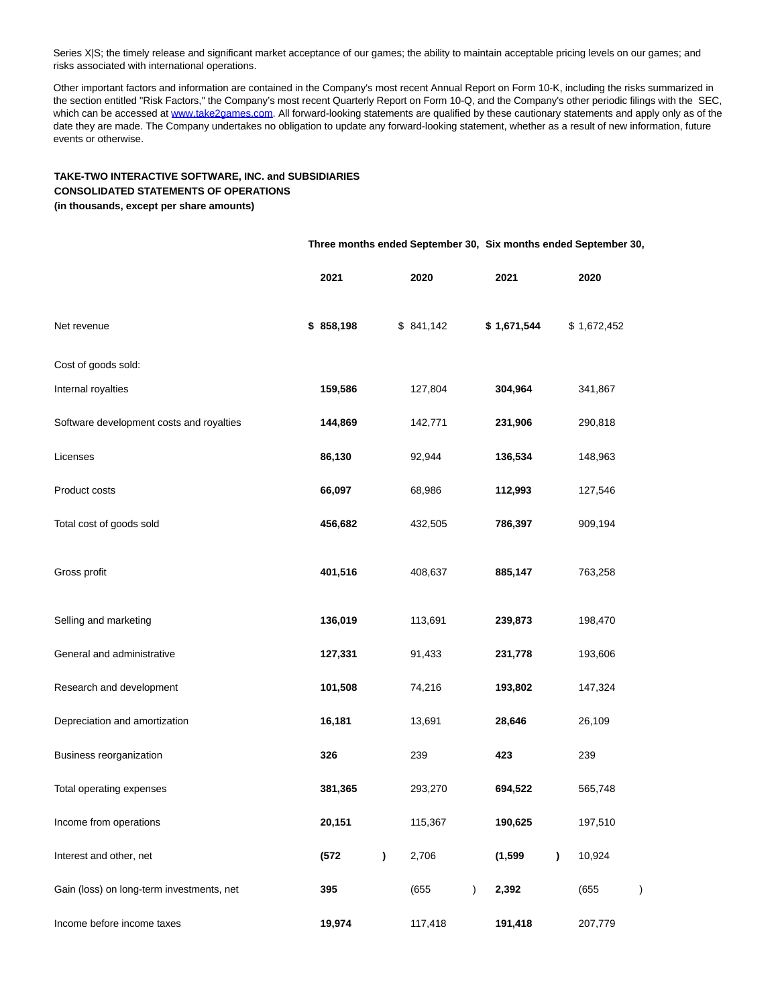Series X|S; the timely release and significant market acceptance of our games; the ability to maintain acceptable pricing levels on our games; and risks associated with international operations.

Other important factors and information are contained in the Company's most recent Annual Report on Form 10-K, including the risks summarized in the section entitled "Risk Factors," the Company's most recent Quarterly Report on Form 10-Q, and the Company's other periodic filings with the SEC, which can be accessed at [www.take2games.com.](https://cts.businesswire.com/ct/CT?id=smartlink&url=http%3A%2F%2Fwww.take2games.com&esheet=52520915&newsitemid=20211103006094&lan=en-US&anchor=www.take2games.com&index=4&md5=40b56cca687d11c0753520a2343f9308) All forward-looking statements are qualified by these cautionary statements and apply only as of the date they are made. The Company undertakes no obligation to update any forward-looking statement, whether as a result of new information, future events or otherwise.

# **TAKE-TWO INTERACTIVE SOFTWARE, INC. and SUBSIDIARIES CONSOLIDATED STATEMENTS OF OPERATIONS (in thousands, except per share amounts)**

| Three months ended September 30, Six months ended September 30, |  |
|-----------------------------------------------------------------|--|
|-----------------------------------------------------------------|--|

|                                           | 2021      | 2020               | 2021               | 2020                |  |
|-------------------------------------------|-----------|--------------------|--------------------|---------------------|--|
| Net revenue                               | \$858,198 | \$841,142          | \$1,671,544        | \$1,672,452         |  |
| Cost of goods sold:                       |           |                    |                    |                     |  |
| Internal royalties                        | 159,586   | 127,804            | 304,964            | 341,867             |  |
| Software development costs and royalties  | 144,869   | 142,771            | 231,906            | 290,818             |  |
| Licenses                                  | 86,130    | 92,944             | 136,534            | 148,963             |  |
| Product costs                             | 66,097    | 68,986             | 112,993            | 127,546             |  |
| Total cost of goods sold                  | 456,682   | 432,505            | 786,397            | 909,194             |  |
| Gross profit                              | 401,516   | 408,637            | 885,147            | 763,258             |  |
| Selling and marketing                     | 136,019   | 113,691            | 239,873            | 198,470             |  |
| General and administrative                | 127,331   | 91,433             | 231,778            | 193,606             |  |
| Research and development                  | 101,508   | 74,216             | 193,802            | 147,324             |  |
| Depreciation and amortization             | 16,181    | 13,691             | 28,646             | 26,109              |  |
| Business reorganization                   | 326       | 239                | 423                | 239                 |  |
| Total operating expenses                  | 381,365   | 293,270            | 694,522            | 565,748             |  |
| Income from operations                    | 20,151    | 115,367            | 190,625            | 197,510             |  |
| Interest and other, net                   | (572)     | 2,706<br>$\lambda$ | (1,599             | 10,924<br>$\lambda$ |  |
| Gain (loss) on long-term investments, net | 395       | (655               | 2,392<br>$\lambda$ | (655)               |  |
| Income before income taxes                | 19,974    | 117,418            | 191,418            | 207,779             |  |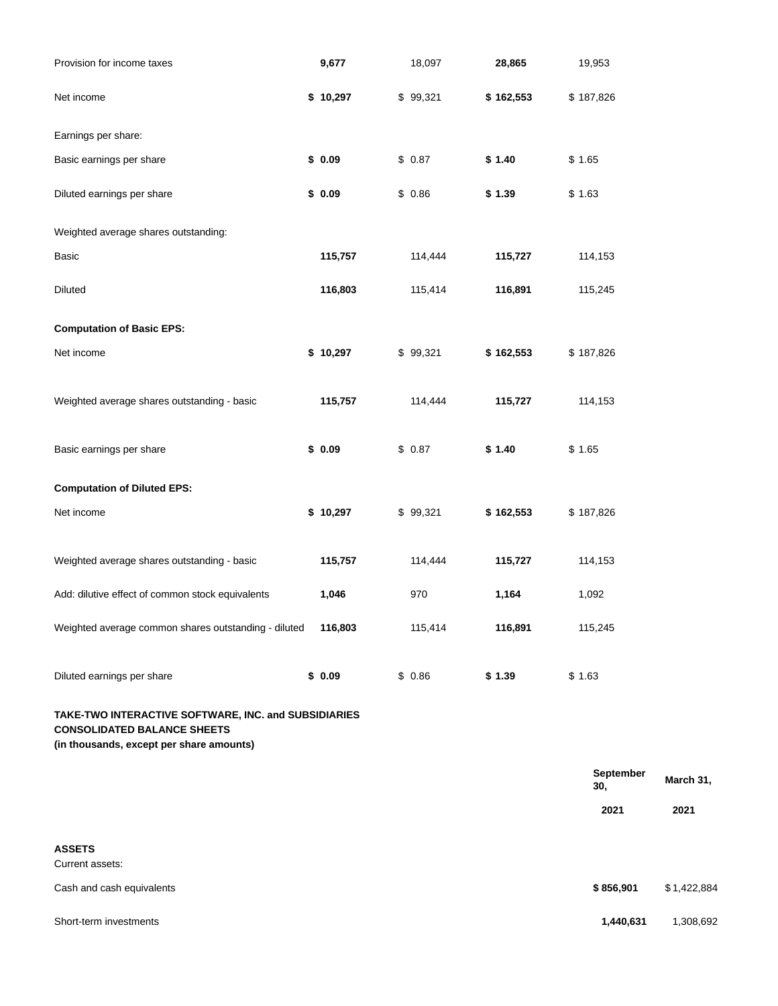| Provision for income taxes                                                                 |  | 9,677    |  | 18,097   |  | 28,865    |  | 19,953    |
|--------------------------------------------------------------------------------------------|--|----------|--|----------|--|-----------|--|-----------|
| Net income                                                                                 |  | \$10,297 |  | \$99,321 |  | \$162,553 |  | \$187,826 |
| Earnings per share:                                                                        |  |          |  |          |  |           |  |           |
| Basic earnings per share                                                                   |  | \$0.09   |  | \$0.87   |  | \$1.40    |  | \$1.65    |
| Diluted earnings per share                                                                 |  | \$0.09   |  | \$0.86   |  | \$1.39    |  | \$1.63    |
| Weighted average shares outstanding:                                                       |  |          |  |          |  |           |  |           |
| Basic                                                                                      |  | 115,757  |  | 114,444  |  | 115,727   |  | 114,153   |
| <b>Diluted</b>                                                                             |  | 116,803  |  | 115,414  |  | 116,891   |  | 115,245   |
| <b>Computation of Basic EPS:</b>                                                           |  |          |  |          |  |           |  |           |
| Net income                                                                                 |  | \$10,297 |  | \$99,321 |  | \$162,553 |  | \$187,826 |
| Weighted average shares outstanding - basic                                                |  | 115,757  |  | 114,444  |  | 115,727   |  | 114,153   |
| Basic earnings per share                                                                   |  | \$0.09   |  | \$0.87   |  | \$1.40    |  | \$1.65    |
| <b>Computation of Diluted EPS:</b>                                                         |  |          |  |          |  |           |  |           |
| Net income                                                                                 |  | \$10,297 |  | \$99,321 |  | \$162,553 |  | \$187,826 |
| Weighted average shares outstanding - basic                                                |  | 115,757  |  | 114,444  |  | 115,727   |  | 114,153   |
| Add: dilutive effect of common stock equivalents                                           |  | 1,046    |  | 970      |  | 1,164     |  | 1,092     |
| Weighted average common shares outstanding - diluted                                       |  | 116,803  |  | 115,414  |  | 116,891   |  | 115,245   |
| Diluted earnings per share                                                                 |  | \$0.09   |  | \$0.86   |  | \$1.39    |  | \$1.63    |
| TAKE-TWO INTERACTIVE SOFTWARE, INC. and SUBSIDIARIES<br><b>CONSOLIDATED BALANCE SHEETS</b> |  |          |  |          |  |           |  |           |

**(in thousands, except per share amounts)**

|                                  | September<br>30, | March 31,   |
|----------------------------------|------------------|-------------|
|                                  | 2021             | 2021        |
| <b>ASSETS</b><br>Current assets: |                  |             |
| Cash and cash equivalents        | \$856,901        | \$1,422,884 |
| Short-term investments           | 1,440,631        | 1,308,692   |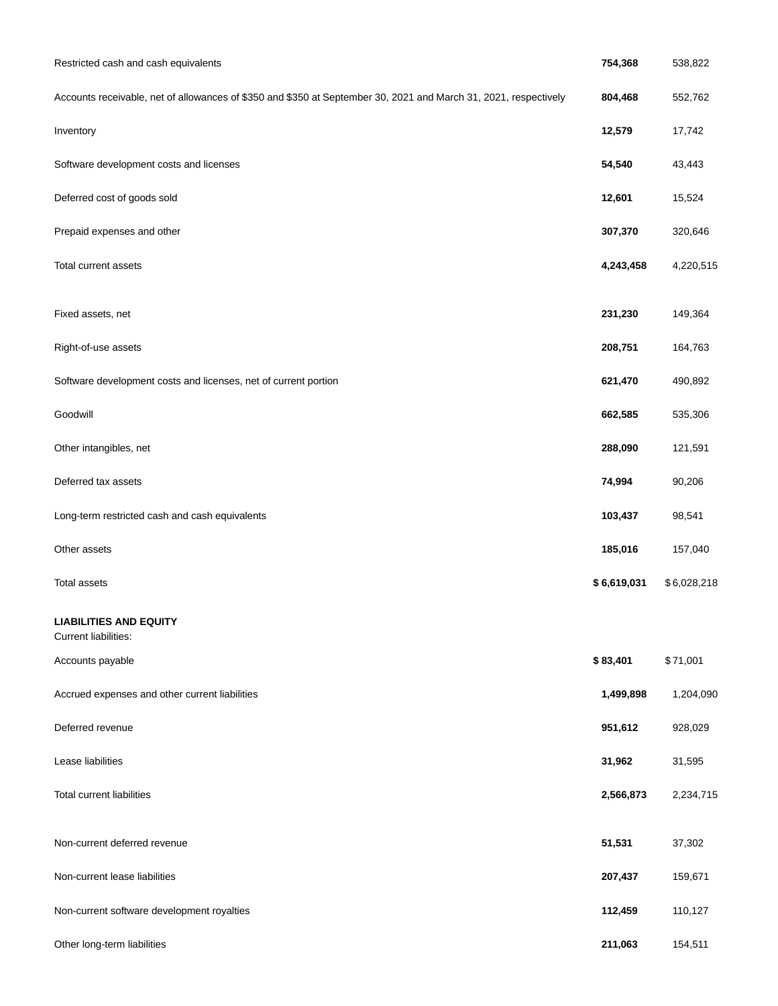| Restricted cash and cash equivalents                                                                             | 754,368     | 538,822     |
|------------------------------------------------------------------------------------------------------------------|-------------|-------------|
| Accounts receivable, net of allowances of \$350 and \$350 at September 30, 2021 and March 31, 2021, respectively | 804,468     | 552,762     |
| Inventory                                                                                                        | 12,579      | 17,742      |
| Software development costs and licenses                                                                          | 54,540      | 43,443      |
| Deferred cost of goods sold                                                                                      | 12,601      | 15,524      |
| Prepaid expenses and other                                                                                       | 307,370     | 320,646     |
| Total current assets                                                                                             | 4,243,458   | 4,220,515   |
| Fixed assets, net                                                                                                | 231,230     | 149,364     |
| Right-of-use assets                                                                                              | 208,751     | 164,763     |
| Software development costs and licenses, net of current portion                                                  | 621,470     | 490,892     |
| Goodwill                                                                                                         | 662,585     | 535,306     |
| Other intangibles, net                                                                                           | 288,090     | 121,591     |
| Deferred tax assets                                                                                              | 74,994      | 90,206      |
| Long-term restricted cash and cash equivalents                                                                   | 103,437     | 98,541      |
| Other assets                                                                                                     | 185,016     | 157,040     |
| <b>Total assets</b>                                                                                              | \$6,619,031 | \$6,028,218 |
| <b>LIABILITIES AND EQUITY</b><br>Current liabilities:                                                            |             |             |
| Accounts payable                                                                                                 | \$83,401    | \$71,001    |
| Accrued expenses and other current liabilities                                                                   | 1,499,898   | 1,204,090   |
| Deferred revenue                                                                                                 | 951,612     | 928,029     |
| Lease liabilities                                                                                                | 31,962      | 31,595      |
| <b>Total current liabilities</b>                                                                                 | 2,566,873   | 2,234,715   |
| Non-current deferred revenue                                                                                     | 51,531      | 37,302      |
| Non-current lease liabilities                                                                                    | 207,437     | 159,671     |
| Non-current software development royalties                                                                       | 112,459     | 110,127     |
| Other long-term liabilities                                                                                      | 211,063     | 154,511     |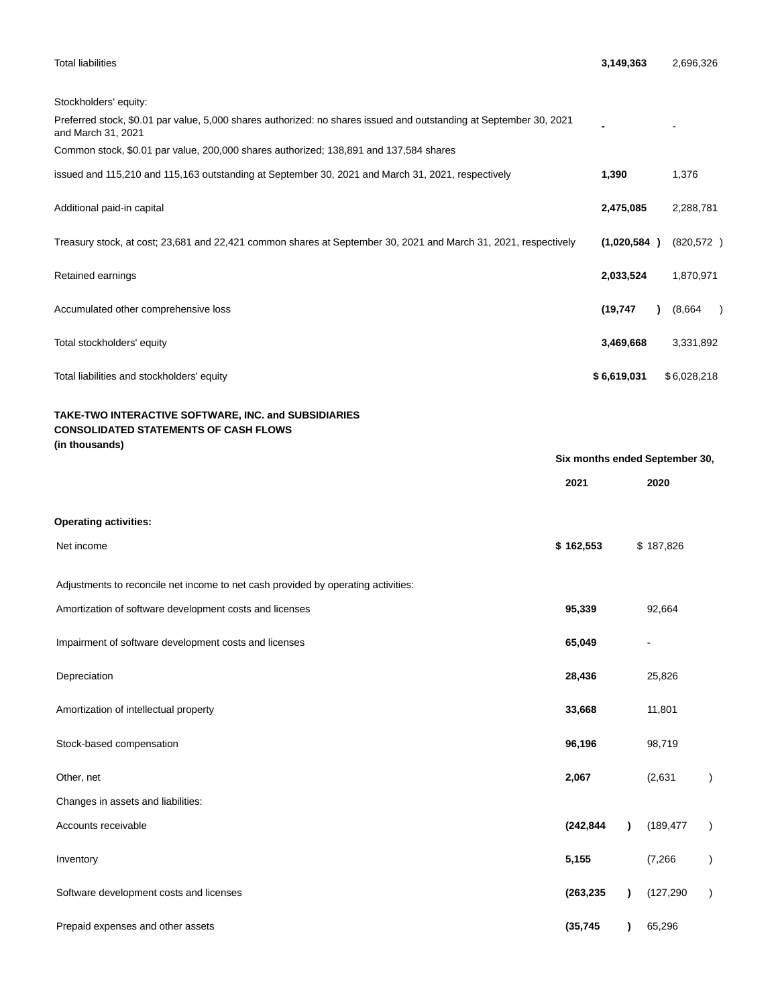| <b>Total liabilities</b>                                                                                                                                          |                                        | 3,149,363   |              | 2,696,326            |
|-------------------------------------------------------------------------------------------------------------------------------------------------------------------|----------------------------------------|-------------|--------------|----------------------|
| Stockholders' equity:<br>Preferred stock, \$0.01 par value, 5,000 shares authorized: no shares issued and outstanding at September 30, 2021<br>and March 31, 2021 |                                        |             |              |                      |
| Common stock, \$0.01 par value, 200,000 shares authorized; 138,891 and 137,584 shares                                                                             |                                        |             |              |                      |
| issued and 115,210 and 115,163 outstanding at September 30, 2021 and March 31, 2021, respectively                                                                 |                                        | 1,390       |              | 1,376                |
| Additional paid-in capital                                                                                                                                        |                                        | 2,475,085   |              | 2,288,781            |
| Treasury stock, at cost; 23,681 and 22,421 common shares at September 30, 2021 and March 31, 2021, respectively                                                   |                                        | (1,020,584) |              | (820, 572)           |
| Retained earnings                                                                                                                                                 |                                        | 2,033,524   |              | 1,870,971            |
| Accumulated other comprehensive loss                                                                                                                              |                                        | (19, 747)   | $\mathbf{r}$ | (8,664)<br>$\lambda$ |
| Total stockholders' equity                                                                                                                                        |                                        | 3,469,668   |              | 3,331,892            |
| Total liabilities and stockholders' equity                                                                                                                        |                                        | \$6,619,031 |              | \$6,028,218          |
| TAKE-TWO INTERACTIVE SOFTWARE, INC. and SUBSIDIARIES<br><b>CONSOLIDATED STATEMENTS OF CASH FLOWS</b><br>(in thousands)                                            |                                        |             |              |                      |
|                                                                                                                                                                   | Six months ended September 30,<br>2021 |             | 2020         |                      |
| <b>Operating activities:</b>                                                                                                                                      |                                        |             |              |                      |
| Net income                                                                                                                                                        | \$162,553                              |             | \$187,826    |                      |
| Adjustments to reconcile net income to net cash provided by operating activities:                                                                                 |                                        |             |              |                      |
| Amortization of software development costs and licenses                                                                                                           | 95,339                                 |             | 92,664       |                      |
| Impairment of software development costs and licenses                                                                                                             | 65,049                                 |             |              |                      |
| Depreciation                                                                                                                                                      | 28,436                                 |             | 25,826       |                      |
| Amortization of intellectual property                                                                                                                             | 33,668                                 |             | 11,801       |                      |
| Stock-based compensation                                                                                                                                          | 96,196                                 |             | 98,719       |                      |
| Other, net                                                                                                                                                        | 2,067                                  |             | (2,631)      |                      |
| Changes in assets and liabilities:                                                                                                                                |                                        |             |              |                      |
| Accounts receivable                                                                                                                                               | (242, 844)                             |             | (189, 477)   | $\lambda$            |
| Inventory                                                                                                                                                         | 5,155                                  |             | (7, 266)     | $\lambda$            |
| Software development costs and licenses                                                                                                                           | (263, 235)                             | I           | (127, 290)   | $\mathcal{E}$        |
| Prepaid expenses and other assets                                                                                                                                 | (35, 745)                              |             | 65,296       |                      |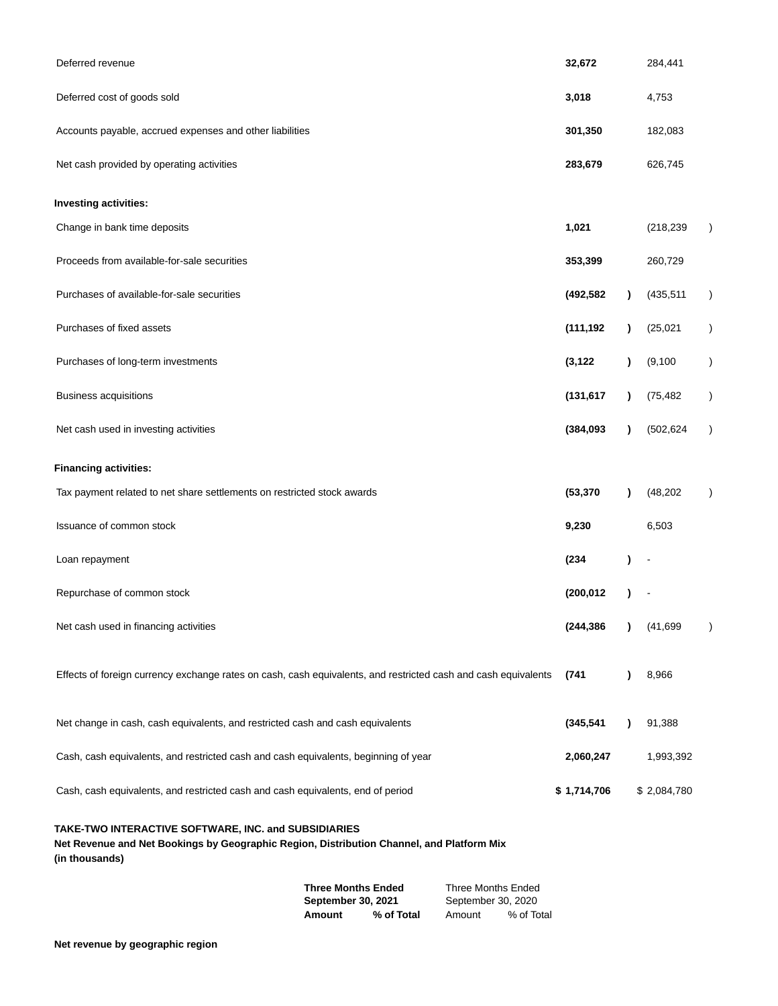| Deferred revenue                                                                                                                                                    | 32,672      |           | 284,441     |               |
|---------------------------------------------------------------------------------------------------------------------------------------------------------------------|-------------|-----------|-------------|---------------|
| Deferred cost of goods sold                                                                                                                                         | 3,018       |           | 4,753       |               |
| Accounts payable, accrued expenses and other liabilities                                                                                                            | 301,350     |           | 182,083     |               |
| Net cash provided by operating activities                                                                                                                           | 283,679     |           | 626,745     |               |
| Investing activities:                                                                                                                                               |             |           |             |               |
| Change in bank time deposits                                                                                                                                        | 1,021       |           | (218, 239)  |               |
| Proceeds from available-for-sale securities                                                                                                                         | 353,399     |           | 260,729     |               |
| Purchases of available-for-sale securities                                                                                                                          | (492,582)   | $\lambda$ | (435, 511)  | $\lambda$     |
| Purchases of fixed assets                                                                                                                                           | (111, 192)  |           | (25, 021)   | $\lambda$     |
| Purchases of long-term investments                                                                                                                                  | (3, 122)    | 1         | (9, 100)    |               |
| <b>Business acquisitions</b>                                                                                                                                        | (131, 617)  |           | (75, 482)   |               |
| Net cash used in investing activities                                                                                                                               | (384, 093)  |           | (502, 624)  | $\mathcal{E}$ |
| <b>Financing activities:</b>                                                                                                                                        |             |           |             |               |
| Tax payment related to net share settlements on restricted stock awards                                                                                             | (53, 370)   | $\lambda$ | (48, 202)   |               |
| Issuance of common stock                                                                                                                                            | 9,230       |           | 6,503       |               |
| Loan repayment                                                                                                                                                      | (234)       |           |             |               |
| Repurchase of common stock                                                                                                                                          | (200, 012)  |           |             |               |
| Net cash used in financing activities                                                                                                                               | (244, 386)  | $\lambda$ | (41, 699)   |               |
| Effects of foreign currency exchange rates on cash, cash equivalents, and restricted cash and cash equivalents                                                      | (741        |           | 8,966       |               |
| Net change in cash, cash equivalents, and restricted cash and cash equivalents                                                                                      | (345, 541)  |           | 91,388      |               |
| Cash, cash equivalents, and restricted cash and cash equivalents, beginning of year                                                                                 | 2,060,247   |           | 1,993,392   |               |
| Cash, cash equivalents, and restricted cash and cash equivalents, end of period                                                                                     | \$1,714,706 |           | \$2,084,780 |               |
| TAKE-TWO INTERACTIVE SOFTWARE, INC. and SUBSIDIARIES<br>Net Revenue and Net Bookings by Geographic Region, Distribution Channel, and Platform Mix<br>(in thousands) |             |           |             |               |

| <b>Three Months Ended</b> |  | Three Months Ended |            |  |  |  |  |  |  |
|---------------------------|--|--------------------|------------|--|--|--|--|--|--|
| September 30, 2021        |  | September 30, 2020 |            |  |  |  |  |  |  |
| % of Total<br>Amount      |  | Amount             | % of Total |  |  |  |  |  |  |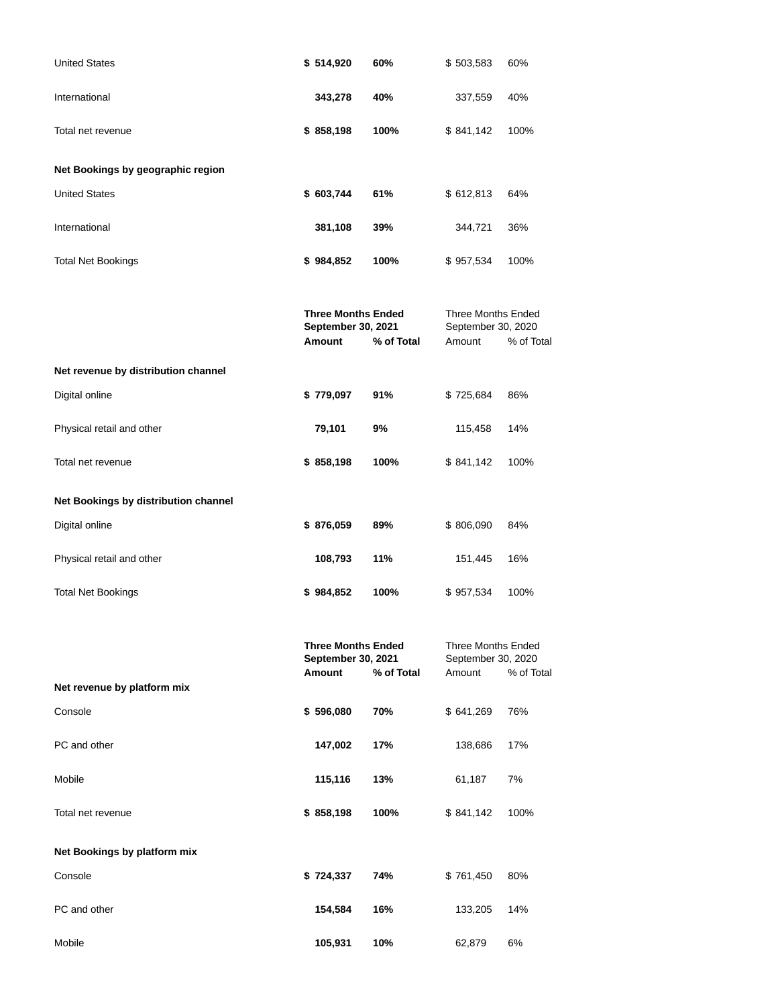| <b>United States</b>                 | \$514,920                                                        | 60%        | \$503,583                                                 | 60%        |
|--------------------------------------|------------------------------------------------------------------|------------|-----------------------------------------------------------|------------|
| International                        | 343,278                                                          | 40%        | 337,559                                                   | 40%        |
| Total net revenue                    | \$858,198                                                        | 100%       | \$841,142                                                 | 100%       |
| Net Bookings by geographic region    |                                                                  |            |                                                           |            |
| <b>United States</b>                 | \$603,744                                                        | 61%        | \$612,813                                                 | 64%        |
| International                        | 381,108                                                          | 39%        | 344,721                                                   | 36%        |
| <b>Total Net Bookings</b>            | \$984,852                                                        | 100%       | \$957,534                                                 | 100%       |
|                                      | <b>Three Months Ended</b><br>September 30, 2021<br><b>Amount</b> | % of Total | <b>Three Months Ended</b><br>September 30, 2020<br>Amount | % of Total |
| Net revenue by distribution channel  |                                                                  |            |                                                           |            |
| Digital online                       | \$779,097                                                        | 91%        | \$725,684                                                 | 86%        |
| Physical retail and other            | 79,101                                                           | 9%         | 115,458                                                   | 14%        |
| Total net revenue                    | \$858,198                                                        | 100%       | \$841,142                                                 | 100%       |
| Net Bookings by distribution channel |                                                                  |            |                                                           |            |
| Digital online                       | \$876,059                                                        | 89%        | \$806,090                                                 | 84%        |
| Physical retail and other            | 108,793                                                          | 11%        | 151,445                                                   | 16%        |
| <b>Total Net Bookings</b>            | \$984,852                                                        | 100%       | \$957,534                                                 | 100%       |
| Net revenue by platform mix          | <b>Three Months Ended</b><br>September 30, 2021<br><b>Amount</b> | % of Total | <b>Three Months Ended</b><br>September 30, 2020<br>Amount | % of Total |
| Console                              | \$596,080                                                        | 70%        | \$641,269                                                 | 76%        |
| PC and other                         | 147,002                                                          | 17%        | 138,686                                                   | 17%        |
| Mobile                               | 115,116                                                          | 13%        | 61,187                                                    | 7%         |
| Total net revenue                    | \$858,198                                                        | 100%       | \$841,142                                                 | 100%       |
| Net Bookings by platform mix         |                                                                  |            |                                                           |            |
| Console                              | \$724,337                                                        | 74%        | \$761,450                                                 | 80%        |
| PC and other                         | 154,584                                                          | 16%        | 133,205                                                   | 14%        |
| Mobile                               | 105,931                                                          | 10%        | 62,879                                                    | 6%         |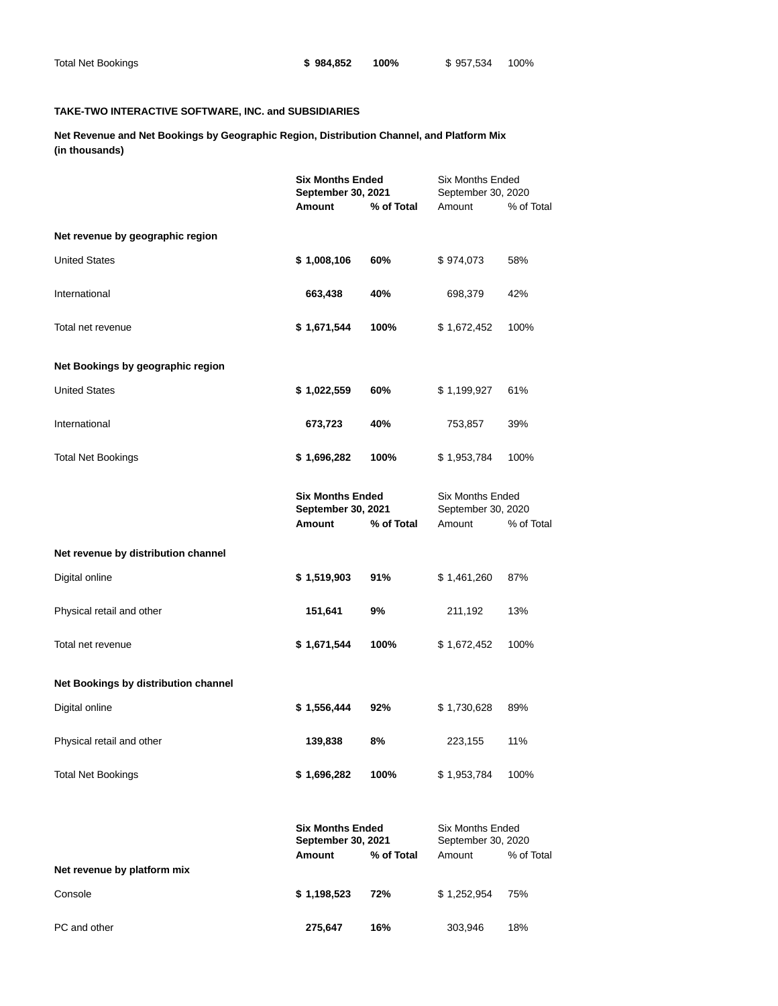# **TAKE-TWO INTERACTIVE SOFTWARE, INC. and SUBSIDIARIES**

**Net Revenue and Net Bookings by Geographic Region, Distribution Channel, and Platform Mix (in thousands)**

|                                      | <b>Six Months Ended</b><br>September 30, 2021<br>Amount                      | % of Total | Six Months Ended<br>September 30, 2020<br>Amount        | % of Total |  |
|--------------------------------------|------------------------------------------------------------------------------|------------|---------------------------------------------------------|------------|--|
| Net revenue by geographic region     |                                                                              |            |                                                         |            |  |
| <b>United States</b>                 | \$1,008,106                                                                  | 60%        | \$974,073                                               | 58%        |  |
| International                        | 663,438                                                                      | 40%        | 698,379                                                 | 42%        |  |
| Total net revenue                    | \$1,671,544                                                                  | 100%       | \$1,672,452                                             | 100%       |  |
| Net Bookings by geographic region    |                                                                              |            |                                                         |            |  |
| <b>United States</b>                 | \$1,022,559                                                                  | 60%        | \$1,199,927                                             | 61%        |  |
| International                        | 673,723                                                                      | 40%        | 753,857                                                 | 39%        |  |
| <b>Total Net Bookings</b>            | \$1,696,282                                                                  | 100%       | \$1,953,784                                             | 100%       |  |
|                                      | <b>Six Months Ended</b><br>September 30, 2021<br><b>Amount</b><br>% of Total |            | <b>Six Months Ended</b><br>September 30, 2020<br>Amount | % of Total |  |
| Net revenue by distribution channel  |                                                                              |            |                                                         |            |  |
| Digital online                       | \$1,519,903                                                                  | 91%        | \$1,461,260                                             | 87%        |  |
| Physical retail and other            | 151,641                                                                      | 9%         | 211,192                                                 | 13%        |  |
| Total net revenue                    | \$1,671,544                                                                  | 100%       | \$1,672,452                                             | 100%       |  |
| Net Bookings by distribution channel |                                                                              |            |                                                         |            |  |
| Digital online                       | \$1,556,444                                                                  | 92%        | \$1,730,628                                             | 89%        |  |
| Physical retail and other            | 139,838                                                                      | 8%         | 223,155                                                 | 11%        |  |
| <b>Total Net Bookings</b>            | \$1,696,282                                                                  | 100%       | \$1,953,784                                             | 100%       |  |
| Net revenue by platform mix          | <b>Six Months Ended</b><br>September 30, 2021<br>Amount<br>% of Total        |            | <b>Six Months Ended</b><br>September 30, 2020<br>Amount | % of Total |  |
| Console                              | \$1,198,523                                                                  | 72%        | \$1,252,954                                             | 75%        |  |
| PC and other                         | 275,647                                                                      | 16%        | 303,946                                                 | 18%        |  |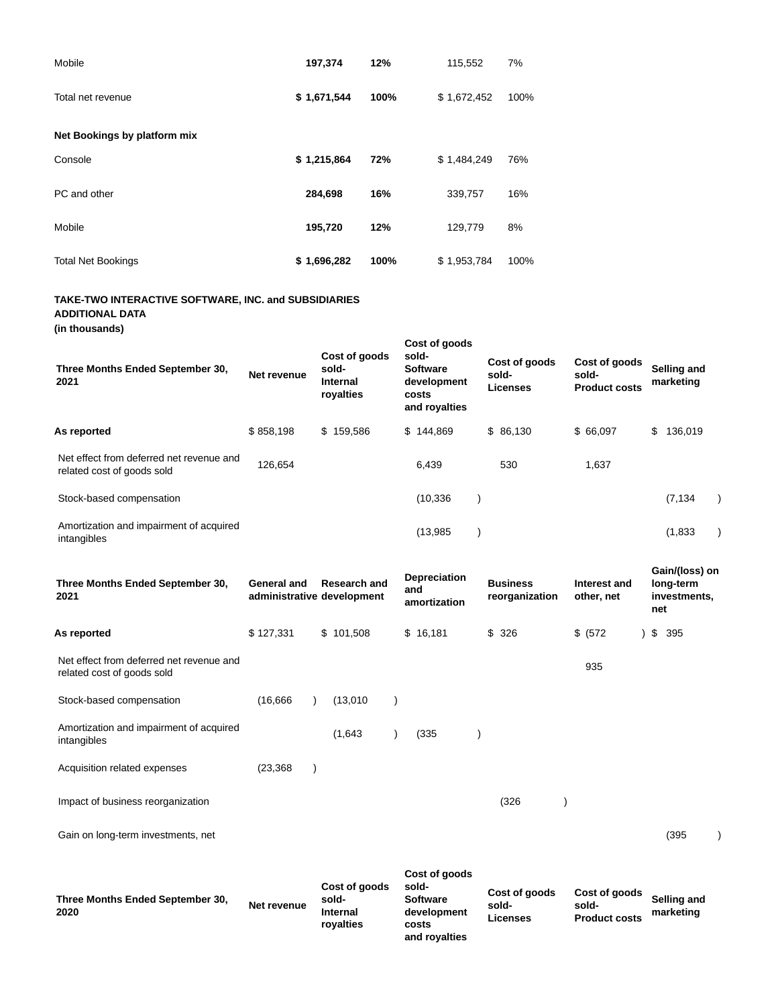| Mobile                       | 197,374     | 12%  | 115,552     | 7%   |
|------------------------------|-------------|------|-------------|------|
| Total net revenue            | \$1,671,544 | 100% | \$1,672,452 | 100% |
| Net Bookings by platform mix |             |      |             |      |
| Console                      | \$1,215,864 | 72%  | \$1,484,249 | 76%  |
| PC and other                 | 284,698     | 16%  | 339,757     | 16%  |
| Mobile                       | 195,720     | 12%  | 129,779     | 8%   |
| <b>Total Net Bookings</b>    | \$1,696,282 | 100% | \$1,953,784 | 100% |

# **TAKE-TWO INTERACTIVE SOFTWARE, INC. and SUBSIDIARIES ADDITIONAL DATA**

**(in thousands)**

| Three Months Ended September 30,<br>2021                               | Net revenue | Cost of goods<br>sold-<br>Internal<br>royalties | Cost of goods<br>sold-<br><b>Software</b><br>development<br>costs<br>and royalties | Cost of goods<br>sold-<br>Licenses | Cost of goods<br>sold-<br><b>Product costs</b> | Selling and<br>marketing |  |
|------------------------------------------------------------------------|-------------|-------------------------------------------------|------------------------------------------------------------------------------------|------------------------------------|------------------------------------------------|--------------------------|--|
| As reported                                                            | \$858,198   | \$159,586                                       | \$144.869                                                                          | \$86,130                           | \$66.097                                       | \$<br>136,019            |  |
| Net effect from deferred net revenue and<br>related cost of goods sold | 126,654     |                                                 | 6,439                                                                              | 530                                | 1,637                                          |                          |  |
| Stock-based compensation                                               |             |                                                 | (10, 336)                                                                          |                                    |                                                | (7, 134)                 |  |
| Amortization and impairment of acquired<br>intangibles                 |             |                                                 | (13,985)                                                                           |                                    |                                                | (1,833)                  |  |

| Three Months Ended September 30,<br>2021                               | General and<br>administrative development | Research and                              | Depreciation<br>and<br>amortization                      | <b>Business</b><br>reorganization     | Interest and<br>other, net              | net  | Gain/(loss) on<br>long-term<br>investments, |  |
|------------------------------------------------------------------------|-------------------------------------------|-------------------------------------------|----------------------------------------------------------|---------------------------------------|-----------------------------------------|------|---------------------------------------------|--|
| As reported                                                            | \$127,331                                 | \$101,508                                 | \$16,181                                                 | \$326                                 | \$ (572)                                | - \$ | 395                                         |  |
| Net effect from deferred net revenue and<br>related cost of goods sold |                                           |                                           |                                                          |                                       | 935                                     |      |                                             |  |
| Stock-based compensation                                               | (16, 666)                                 | (13,010)                                  |                                                          |                                       |                                         |      |                                             |  |
| Amortization and impairment of acquired<br>intangibles                 |                                           | (1,643)                                   | (335)                                                    |                                       |                                         |      |                                             |  |
| Acquisition related expenses                                           | (23, 368)                                 |                                           |                                                          |                                       |                                         |      |                                             |  |
| Impact of business reorganization                                      |                                           |                                           |                                                          | (326)                                 |                                         |      |                                             |  |
| Gain on long-term investments, net                                     |                                           |                                           |                                                          |                                       |                                         |      | (395)                                       |  |
| Three Months Ended September 30,<br>2020                               | Net revenue                               | Cost of goods<br>sold-<br><b>Internal</b> | Cost of goods<br>sold-<br><b>Software</b><br>development | Cost of goods<br>sold-<br>$l$ ioonooo | Cost of goods<br>sold-<br>Draduat again |      | Selling and<br>marketing                    |  |

**costs and royalties** **Licenses**

**Product costs**

**royalties**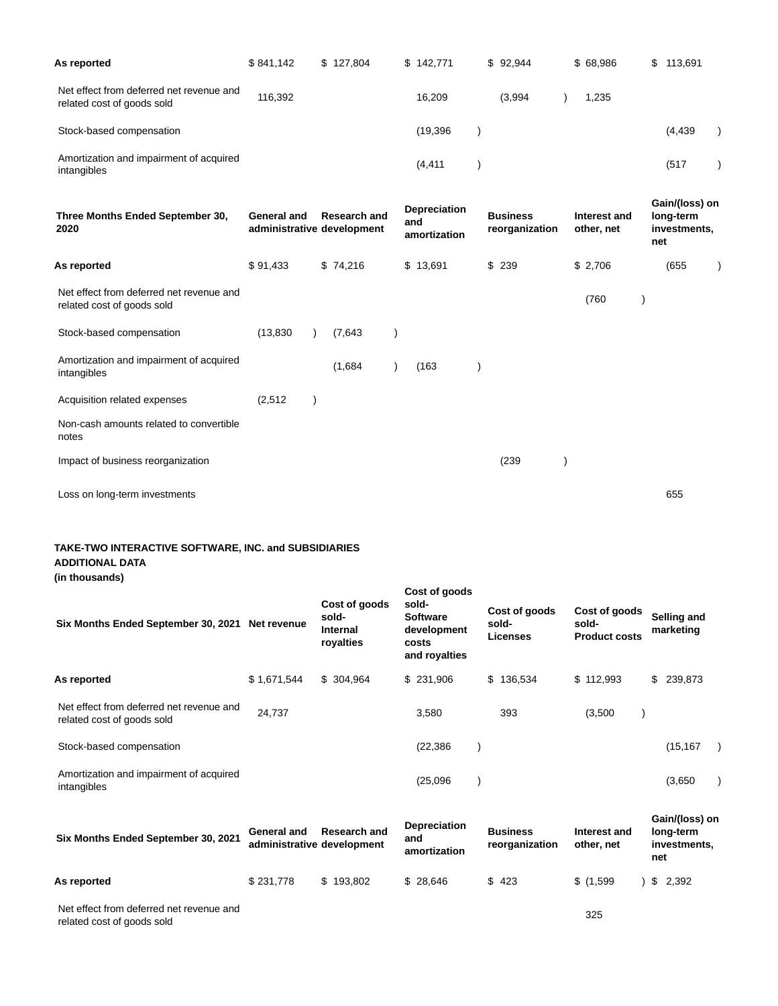| As reported                                                            | \$841,142 | \$127.804 | \$142.771 | \$92.944 | \$68.986 | 113.691  |  |
|------------------------------------------------------------------------|-----------|-----------|-----------|----------|----------|----------|--|
| Net effect from deferred net revenue and<br>related cost of goods sold | 116,392   |           | 16.209    | (3,994)  | 1,235    |          |  |
| Stock-based compensation                                               |           |           | (19.396)  |          |          | (4, 439) |  |
| Amortization and impairment of acquired<br>intangibles                 |           |           | (4, 411)  |          |          | (517)    |  |

| Three Months Ended September 30,<br>2020                               | General and<br>administrative development | <b>Research and</b> | Depreciation<br>and<br>amortization | <b>Business</b><br>reorganization | Interest and<br>other, net | Gain/(loss) on<br>long-term<br>investments,<br>net |  |
|------------------------------------------------------------------------|-------------------------------------------|---------------------|-------------------------------------|-----------------------------------|----------------------------|----------------------------------------------------|--|
| As reported                                                            | \$91,433                                  | \$74,216            | \$13,691                            | \$239                             | \$2,706                    | (655)                                              |  |
| Net effect from deferred net revenue and<br>related cost of goods sold |                                           |                     |                                     |                                   | (760)                      |                                                    |  |
| Stock-based compensation                                               | (13, 830)                                 | (7,643)             |                                     |                                   |                            |                                                    |  |
| Amortization and impairment of acquired<br>intangibles                 |                                           | (1,684)             | (163)                               |                                   |                            |                                                    |  |
| Acquisition related expenses                                           | (2,512)                                   |                     |                                     |                                   |                            |                                                    |  |
| Non-cash amounts related to convertible<br>notes                       |                                           |                     |                                     |                                   |                            |                                                    |  |
| Impact of business reorganization                                      |                                           |                     |                                     | (239)                             |                            |                                                    |  |
| Loss on long-term investments                                          |                                           |                     |                                     |                                   |                            | 655                                                |  |

# **TAKE-TWO INTERACTIVE SOFTWARE, INC. and SUBSIDIARIES ADDITIONAL DATA**

# **(in thousands)**

| Six Months Ended September 30, 2021                                    | Net revenue | Cost of goods<br>sold-<br><b>Internal</b><br>royalties | Cost of goods<br>sold-<br><b>Software</b><br>development<br>costs<br>and royalties | Cost of goods<br>sold-<br><b>Licenses</b> | Cost of goods<br>sold-<br><b>Product costs</b> | <b>Selling and</b><br>marketing |  |
|------------------------------------------------------------------------|-------------|--------------------------------------------------------|------------------------------------------------------------------------------------|-------------------------------------------|------------------------------------------------|---------------------------------|--|
| As reported                                                            | \$1,671,544 | \$304,964                                              | \$231,906                                                                          | \$136,534                                 | \$112,993                                      | 239,873<br>\$                   |  |
| Net effect from deferred net revenue and<br>related cost of goods sold | 24,737      |                                                        | 3,580                                                                              | 393                                       | (3,500)                                        |                                 |  |
| Stock-based compensation                                               |             |                                                        | (22, 386)                                                                          |                                           |                                                | (15, 167)                       |  |
| Amortization and impairment of acquired<br>intangibles                 |             |                                                        | (25,096)                                                                           |                                           |                                                | (3,650)                         |  |

| Six Months Ended September 30, 2021 | General and<br>administrative development | <b>Research and</b> | <b>Depreciation</b><br>and<br>amortization | <b>Business</b><br>reorganization | Interest and<br>other, net | Gain/(loss) on<br>long-term<br>investments,<br>net |
|-------------------------------------|-------------------------------------------|---------------------|--------------------------------------------|-----------------------------------|----------------------------|----------------------------------------------------|
| As reported                         | \$231.778                                 | \$193.802           | \$28.646                                   | \$423                             | \$(1.599)                  | \$2.392                                            |

Net effect from deferred net revenue and related cost of goods sold<br>related cost of goods sold 325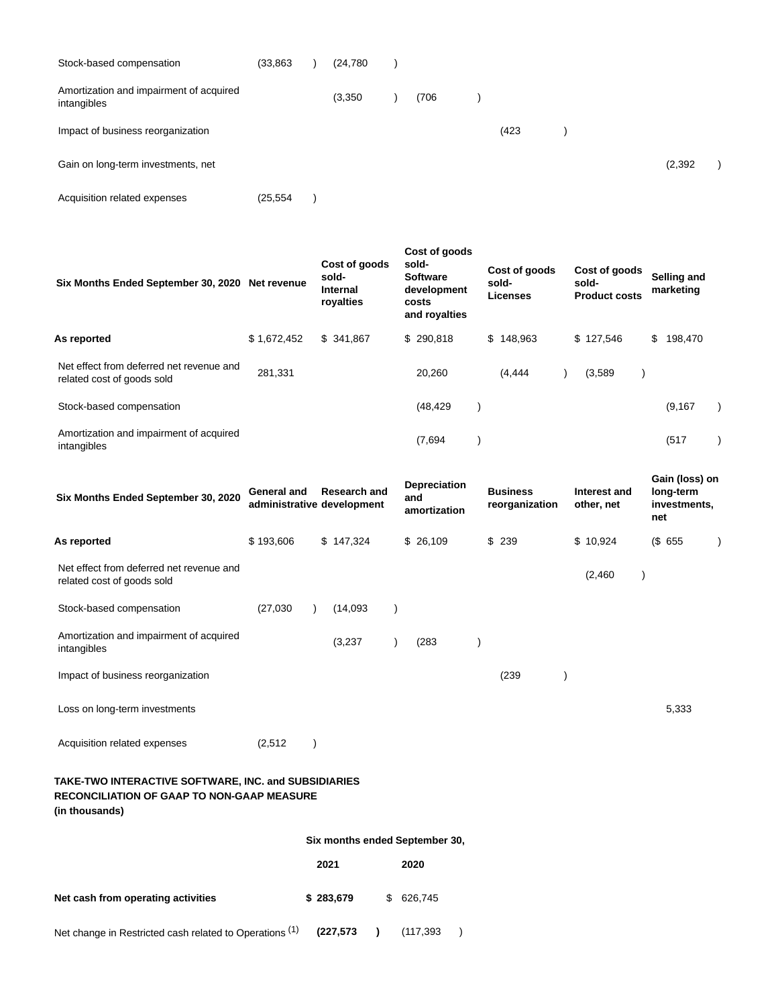| Stock-based compensation                               | (33,863 | (24, 780) |      |       |  |          |  |
|--------------------------------------------------------|---------|-----------|------|-------|--|----------|--|
| Amortization and impairment of acquired<br>intangibles |         | (3,350)   | (706 |       |  |          |  |
| Impact of business reorganization                      |         |           |      | (423) |  |          |  |
| Gain on long-term investments, net                     |         |           |      |       |  | (2, 392) |  |
| Acquisition related expenses                           | (25,554 |           |      |       |  |          |  |

| Six Months Ended September 30, 2020 Net revenue                        |             | Cost of goods<br>sold-<br><b>Internal</b><br>royalties | Cost of goods<br>sold-<br><b>Software</b><br>development<br>costs<br>and royalties | Cost of goods<br>sold-<br>Licenses | Cost of goods<br>sold-<br><b>Product costs</b> | Selling and<br>marketing |  |
|------------------------------------------------------------------------|-------------|--------------------------------------------------------|------------------------------------------------------------------------------------|------------------------------------|------------------------------------------------|--------------------------|--|
| As reported                                                            | \$1,672,452 | \$ 341,867                                             | \$290.818                                                                          | \$148.963                          | \$127,546                                      | \$<br>198,470            |  |
| Net effect from deferred net revenue and<br>related cost of goods sold | 281.331     |                                                        | 20.260                                                                             | (4, 444)                           | (3,589)                                        |                          |  |
| Stock-based compensation                                               |             |                                                        | (48, 429)                                                                          |                                    |                                                | (9, 167)                 |  |
| Amortization and impairment of acquired<br>intangibles                 |             |                                                        | (7.694)                                                                            |                                    |                                                | (517)                    |  |

| Six Months Ended September 30, 2020                                    | General and<br>administrative development | Research and | Depreciation<br>and<br>amortization | <b>Business</b><br>reorganization | Interest and<br>other, net | Gain (loss) on<br>long-term<br>investments,<br>net |  |
|------------------------------------------------------------------------|-------------------------------------------|--------------|-------------------------------------|-----------------------------------|----------------------------|----------------------------------------------------|--|
| As reported                                                            | \$193,606                                 | \$147,324    | \$26,109                            | \$239                             | \$10,924                   | (\$655                                             |  |
| Net effect from deferred net revenue and<br>related cost of goods sold |                                           |              |                                     |                                   | (2,460)                    |                                                    |  |
| Stock-based compensation                                               | (27,030)                                  | (14,093)     |                                     |                                   |                            |                                                    |  |
| Amortization and impairment of acquired<br>intangibles                 |                                           | (3,237)      | (283)                               |                                   |                            |                                                    |  |
| Impact of business reorganization                                      |                                           |              |                                     | (239)                             |                            |                                                    |  |
| Loss on long-term investments                                          |                                           |              |                                     |                                   |                            | 5,333                                              |  |
| Acquisition related expenses                                           | (2,512)                                   |              |                                     |                                   |                            |                                                    |  |

# **TAKE-TWO INTERACTIVE SOFTWARE, INC. and SUBSIDIARIES RECONCILIATION OF GAAP TO NON-GAAP MEASURE (in thousands)**

|                                                         | Six months ended September 30, |  |   |            |  |
|---------------------------------------------------------|--------------------------------|--|---|------------|--|
|                                                         | 2021                           |  |   | 2020       |  |
| Net cash from operating activities                      | \$283,679                      |  | S | 626.745    |  |
| Net change in Restricted cash related to Operations (1) | (227,573                       |  |   | (117, 393) |  |